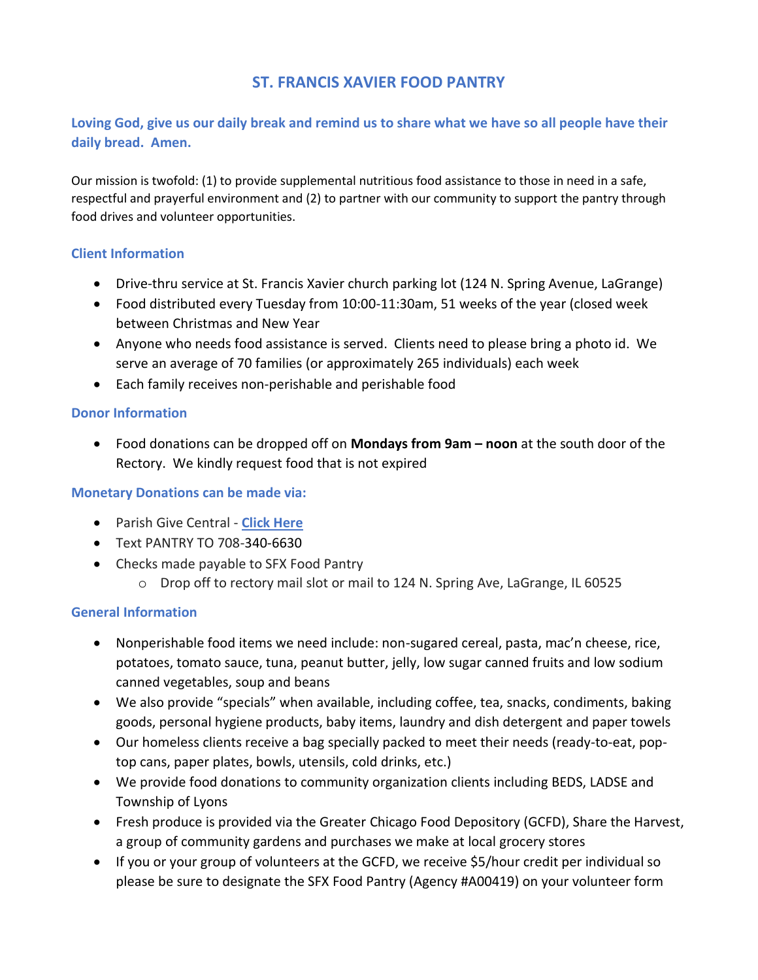# **ST. FRANCIS XAVIER FOOD PANTRY**

## **Loving God, give us our daily break and remind us to share what we have so all people have their daily bread. Amen.**

Our mission is twofold: (1) to provide supplemental nutritious food assistance to those in need in a safe, respectful and prayerful environment and (2) to partner with our community to support the pantry through food drives and volunteer opportunities.

## **Client Information**

- Drive-thru service at St. Francis Xavier church parking lot (124 N. Spring Avenue, LaGrange)
- Food distributed every Tuesday from 10:00-11:30am, 51 weeks of the year (closed week between Christmas and New Year
- Anyone who needs food assistance is served. Clients need to please bring a photo id. We serve an average of 70 families (or approximately 265 individuals) each week
- Each family receives non-perishable and perishable food

#### **Donor Information**

• Food donations can be dropped off on **Mondays from 9am – noon** at the south door of the Rectory. We kindly request food that is not expired

## **Monetary Donations can be made via:**

- Parish Give Central **[Click Here](https://www.givecentral.org/location/218/category/1057/event/5199)**
- Text PANTRY TO 708-340-6630
- Checks made payable to SFX Food Pantry
	- o Drop off to rectory mail slot or mail to 124 N. Spring Ave, LaGrange, IL 60525

## **General Information**

- Nonperishable food items we need include: non-sugared cereal, pasta, mac'n cheese, rice, potatoes, tomato sauce, tuna, peanut butter, jelly, low sugar canned fruits and low sodium canned vegetables, soup and beans
- We also provide "specials" when available, including coffee, tea, snacks, condiments, baking goods, personal hygiene products, baby items, laundry and dish detergent and paper towels
- Our homeless clients receive a bag specially packed to meet their needs (ready-to-eat, poptop cans, paper plates, bowls, utensils, cold drinks, etc.)
- We provide food donations to community organization clients including BEDS, LADSE and Township of Lyons
- Fresh produce is provided via the Greater Chicago Food Depository (GCFD), Share the Harvest, a group of community gardens and purchases we make at local grocery stores
- If you or your group of volunteers at the GCFD, we receive \$5/hour credit per individual so please be sure to designate the SFX Food Pantry (Agency #A00419) on your volunteer form